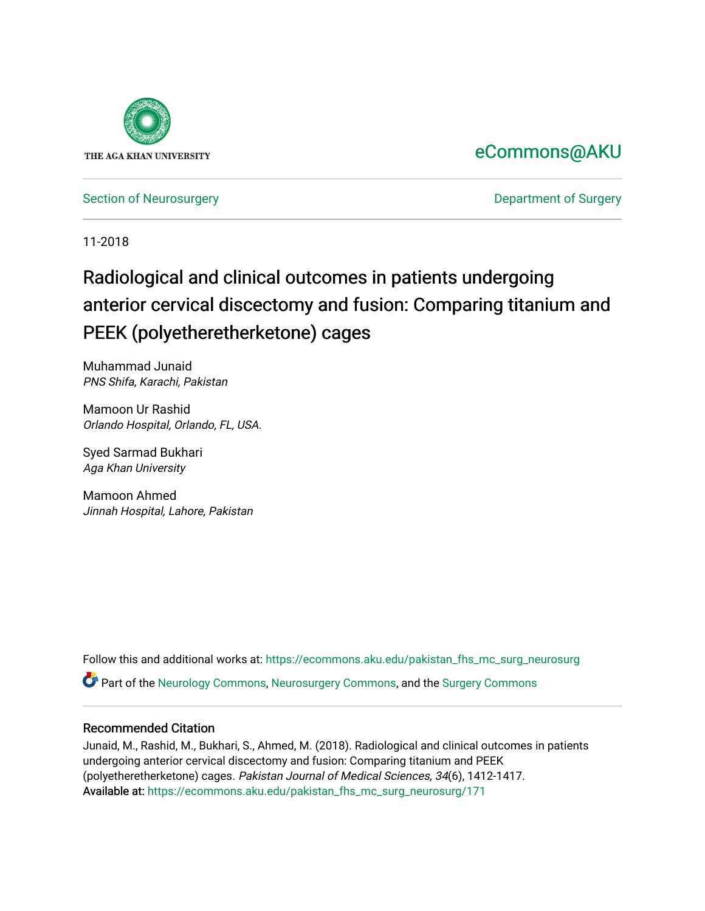

## [eCommons@AKU](https://ecommons.aku.edu/)

[Section of Neurosurgery](https://ecommons.aku.edu/pakistan_fhs_mc_surg_neurosurg) **Department of Surgery** Department of Surgery

11-2018

# Radiological and clinical outcomes in patients undergoing anterior cervical discectomy and fusion: Comparing titanium and PEEK (polyetheretherketone) cages

Muhammad Junaid PNS Shifa, Karachi, Pakistan

Mamoon Ur Rashid Orlando Hospital, Orlando, FL, USA.

Syed Sarmad Bukhari Aga Khan University

Mamoon Ahmed Jinnah Hospital, Lahore, Pakistan

Follow this and additional works at: [https://ecommons.aku.edu/pakistan\\_fhs\\_mc\\_surg\\_neurosurg](https://ecommons.aku.edu/pakistan_fhs_mc_surg_neurosurg?utm_source=ecommons.aku.edu%2Fpakistan_fhs_mc_surg_neurosurg%2F171&utm_medium=PDF&utm_campaign=PDFCoverPages) 

Part of the [Neurology Commons](http://network.bepress.com/hgg/discipline/692?utm_source=ecommons.aku.edu%2Fpakistan_fhs_mc_surg_neurosurg%2F171&utm_medium=PDF&utm_campaign=PDFCoverPages), [Neurosurgery Commons](http://network.bepress.com/hgg/discipline/1428?utm_source=ecommons.aku.edu%2Fpakistan_fhs_mc_surg_neurosurg%2F171&utm_medium=PDF&utm_campaign=PDFCoverPages), and the [Surgery Commons](http://network.bepress.com/hgg/discipline/706?utm_source=ecommons.aku.edu%2Fpakistan_fhs_mc_surg_neurosurg%2F171&utm_medium=PDF&utm_campaign=PDFCoverPages) 

### Recommended Citation

Junaid, M., Rashid, M., Bukhari, S., Ahmed, M. (2018). Radiological and clinical outcomes in patients undergoing anterior cervical discectomy and fusion: Comparing titanium and PEEK (polyetheretherketone) cages. Pakistan Journal of Medical Sciences, 34(6), 1412-1417. Available at: [https://ecommons.aku.edu/pakistan\\_fhs\\_mc\\_surg\\_neurosurg/171](https://ecommons.aku.edu/pakistan_fhs_mc_surg_neurosurg/171)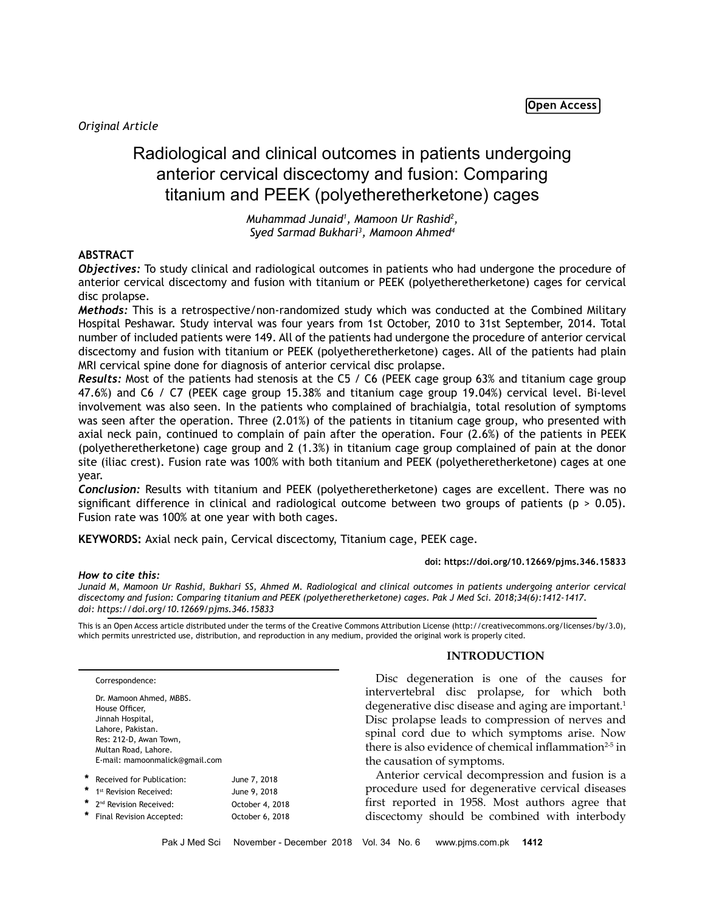*Original Article*

## Radiological and clinical outcomes in patients undergoing anterior cervical discectomy and fusion: Comparing titanium and PEEK (polyetheretherketone) cages

*Muhammad Junaid1 , Mamoon Ur Rashid2 , Syed Sarmad Bukhari3 , Mamoon Ahmed4*

#### **ABSTRACT**

*Objectives:* To study clinical and radiological outcomes in patients who had undergone the procedure of anterior cervical discectomy and fusion with titanium or PEEK (polyetheretherketone) cages for cervical disc prolapse.

*Methods:* This is a retrospective/non-randomized study which was conducted at the Combined Military Hospital Peshawar. Study interval was four years from 1st October, 2010 to 31st September, 2014. Total number of included patients were 149. All of the patients had undergone the procedure of anterior cervical discectomy and fusion with titanium or PEEK (polyetheretherketone) cages. All of the patients had plain MRI cervical spine done for diagnosis of anterior cervical disc prolapse.

*Results:* Most of the patients had stenosis at the C5 / C6 (PEEK cage group 63% and titanium cage group 47.6%) and C6 / C7 (PEEK cage group 15.38% and titanium cage group 19.04%) cervical level. Bi-level involvement was also seen. In the patients who complained of brachialgia, total resolution of symptoms was seen after the operation. Three (2.01%) of the patients in titanium cage group, who presented with axial neck pain, continued to complain of pain after the operation. Four (2.6%) of the patients in PEEK (polyetheretherketone) cage group and 2 (1.3%) in titanium cage group complained of pain at the donor site (iliac crest). Fusion rate was 100% with both titanium and PEEK (polyetheretherketone) cages at one year.

*Conclusion:* Results with titanium and PEEK (polyetheretherketone) cages are excellent. There was no significant difference in clinical and radiological outcome between two groups of patients ( $p > 0.05$ ). Fusion rate was 100% at one year with both cages.

**KEYWORDS:** Axial neck pain, Cervical discectomy, Titanium cage, PEEK cage.

#### **doi: https://doi.org/10.12669/pjms.346.15833**

#### *How to cite this:*

*Junaid M, Mamoon Ur Rashid, Bukhari SS, Ahmed M. Radiological and clinical outcomes in patients undergoing anterior cervical discectomy and fusion: Comparing titanium and PEEK (polyetheretherketone) cages. Pak J Med Sci. 2018;34(6):1412-1417. doi: https://doi.org/10.12669/pjms.346.15833*

This is an Open Access article distributed under the terms of the Creative Commons Attribution License (http://creativecommons.org/licenses/by/3.0), which permits unrestricted use, distribution, and reproduction in any medium, provided the original work is properly cited.

Correspondence:

|        | Dr. Mamoon Ahmed, MBBS.<br>House Officer,<br>Jinnah Hospital,<br>Lahore, Pakistan.<br>Res: 212-D, Awan Town,<br>Multan Road, Lahore. |                 |
|--------|--------------------------------------------------------------------------------------------------------------------------------------|-----------------|
|        | E-mail: mamoonmalick@gmail.com                                                                                                       |                 |
| $\ast$ | Received for Publication:                                                                                                            | June 7, 2018    |
| *      | 1 <sup>st</sup> Revision Received:                                                                                                   | June 9, 2018    |
| $\ast$ | 2 <sup>nd</sup> Revision Received:                                                                                                   | October 4, 2018 |
| ÷      | Final Revision Accepted:                                                                                                             | October 6, 2018 |

#### **INTRODUCTION**

Disc degeneration is one of the causes for intervertebral disc prolapse, for which both degenerative disc disease and aging are important.<sup>1</sup> Disc prolapse leads to compression of nerves and spinal cord due to which symptoms arise. Now there is also evidence of chemical inflammation<sup>2-5</sup> in the causation of symptoms.

Anterior cervical decompression and fusion is a procedure used for degenerative cervical diseases first reported in 1958. Most authors agree that discectomy should be combined with interbody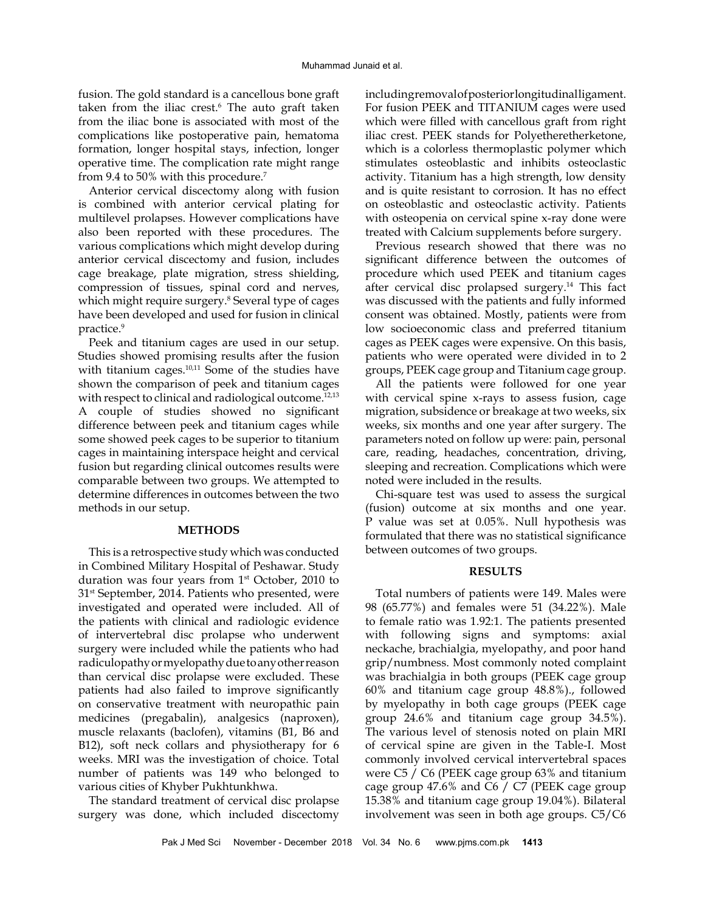fusion. The gold standard is a cancellous bone graft taken from the iliac crest.<sup>6</sup> The auto graft taken from the iliac bone is associated with most of the complications like postoperative pain, hematoma formation, longer hospital stays, infection, longer operative time. The complication rate might range from 9.4 to 50% with this procedure.<sup>7</sup>

Anterior cervical discectomy along with fusion is combined with anterior cervical plating for multilevel prolapses. However complications have also been reported with these procedures. The various complications which might develop during anterior cervical discectomy and fusion, includes cage breakage, plate migration, stress shielding, compression of tissues, spinal cord and nerves, which might require surgery.<sup>8</sup> Several type of cages have been developed and used for fusion in clinical practice.<sup>9</sup>

Peek and titanium cages are used in our setup. Studies showed promising results after the fusion with titanium cages. $10,11$  Some of the studies have shown the comparison of peek and titanium cages with respect to clinical and radiological outcome.<sup>12,13</sup> A couple of studies showed no significant difference between peek and titanium cages while some showed peek cages to be superior to titanium cages in maintaining interspace height and cervical fusion but regarding clinical outcomes results were comparable between two groups. We attempted to determine differences in outcomes between the two methods in our setup.

#### **METHODS**

This is a retrospective study which was conducted in Combined Military Hospital of Peshawar. Study duration was four years from  $1<sup>st</sup>$  October, 2010 to 31<sup>st</sup> September, 2014. Patients who presented, were investigated and operated were included. All of the patients with clinical and radiologic evidence of intervertebral disc prolapse who underwent surgery were included while the patients who had radiculopathy or myelopathy due to any other reason than cervical disc prolapse were excluded. These patients had also failed to improve significantly on conservative treatment with neuropathic pain medicines (pregabalin), analgesics (naproxen), muscle relaxants (baclofen), vitamins (B1, B6 and B12), soft neck collars and physiotherapy for 6 weeks. MRI was the investigation of choice. Total number of patients was 149 who belonged to various cities of Khyber Pukhtunkhwa.

The standard treatment of cervical disc prolapse surgery was done, which included discectomy including removal of posterior longitudinal ligament. For fusion PEEK and TITANIUM cages were used which were filled with cancellous graft from right iliac crest. PEEK stands for Polyetheretherketone, which is a colorless thermoplastic polymer which stimulates osteoblastic and inhibits osteoclastic activity. Titanium has a high strength, low density and is quite resistant to corrosion. It has no effect on osteoblastic and osteoclastic activity. Patients with osteopenia on cervical spine x-ray done were treated with Calcium supplements before surgery.

Previous research showed that there was no significant difference between the outcomes of procedure which used PEEK and titanium cages after cervical disc prolapsed surgery.<sup>14</sup> This fact was discussed with the patients and fully informed consent was obtained. Mostly, patients were from low socioeconomic class and preferred titanium cages as PEEK cages were expensive. On this basis, patients who were operated were divided in to 2 groups, PEEK cage group and Titanium cage group.

All the patients were followed for one year with cervical spine x-rays to assess fusion, cage migration, subsidence or breakage at two weeks, six weeks, six months and one year after surgery. The parameters noted on follow up were: pain, personal care, reading, headaches, concentration, driving, sleeping and recreation. Complications which were noted were included in the results.

Chi-square test was used to assess the surgical (fusion) outcome at six months and one year. P value was set at 0.05%. Null hypothesis was formulated that there was no statistical significance between outcomes of two groups.

#### **RESULTS**

Total numbers of patients were 149. Males were 98 (65.77%) and females were 51 (34.22%). Male to female ratio was 1.92:1. The patients presented with following signs and symptoms: axial neckache, brachialgia, myelopathy, and poor hand grip/numbness. Most commonly noted complaint was brachialgia in both groups (PEEK cage group 60% and titanium cage group 48.8%)., followed by myelopathy in both cage groups (PEEK cage group 24.6% and titanium cage group 34.5%). The various level of stenosis noted on plain MRI of cervical spine are given in the Table-I. Most commonly involved cervical intervertebral spaces were C5 / C6 (PEEK cage group 63% and titanium cage group 47.6% and C6 / C7 (PEEK cage group 15.38% and titanium cage group 19.04%). Bilateral involvement was seen in both age groups. C5/C6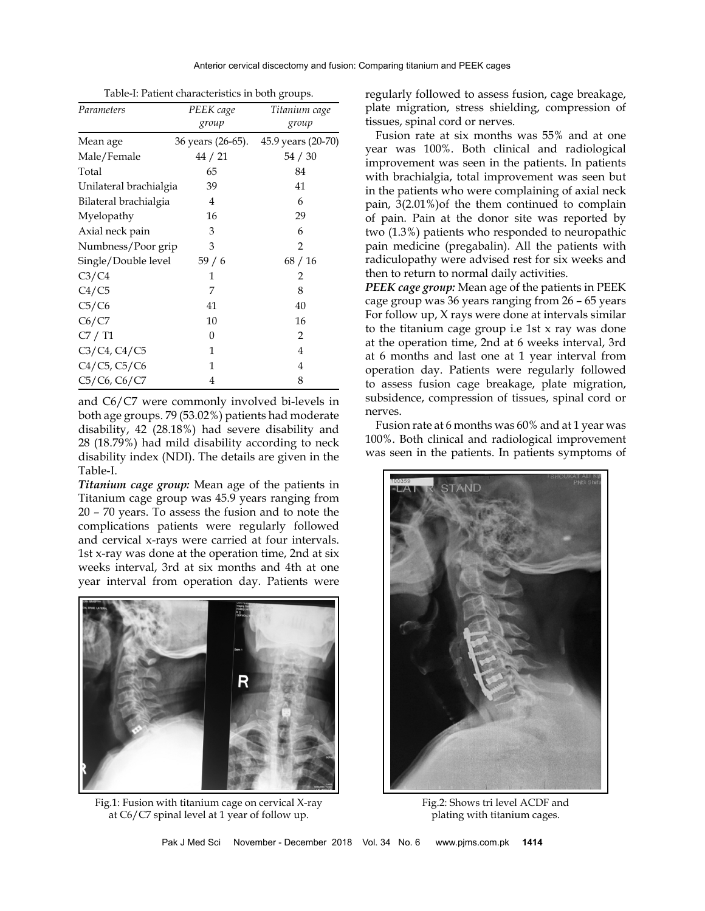| Parameters             | PEEK cage         | Titanium cage      |
|------------------------|-------------------|--------------------|
|                        | group             | group              |
| Mean age               | 36 years (26-65). | 45.9 years (20-70) |
| Male/Female            | 44 / 21           | 54 / 30            |
| Total                  | 65                | 84                 |
| Unilateral brachialgia | 39                | 41                 |
| Bilateral brachialgia  | 4                 | 6                  |
| Myelopathy             | 16                | 29                 |
| Axial neck pain        | 3                 | 6                  |
| Numbness/Poor grip     | 3                 | $\overline{2}$     |
| Single/Double level    | 59/6              | 68/16              |
| C3/C4                  | 1                 | 2                  |
| C4/C5                  | 7                 | 8                  |
| C5/C6                  | 41                | 40                 |
| C6/C7                  | 10                | 16                 |
| C7 / T1                | 0                 | 2                  |
| $C3/C4$ , $C4/C5$      | 1                 | 4                  |
| C4/C5, C5/C6           | 1                 | 4                  |
| C5/C6, C6/C7           | 4                 | 8                  |

Table-I: Patient characteristics in both groups.

and C6/C7 were commonly involved bi-levels in both age groups. 79 (53.02%) patients had moderate disability, 42 (28.18%) had severe disability and 28 (18.79%) had mild disability according to neck disability index (NDI). The details are given in the Table-I.

*Titanium cage group:* Mean age of the patients in Titanium cage group was 45.9 years ranging from 20 – 70 years. To assess the fusion and to note the complications patients were regularly followed and cervical x-rays were carried at four intervals. 1st x-ray was done at the operation time, 2nd at six weeks interval, 3rd at six months and 4th at one year interval from operation day. Patients were



Fig.1: Fusion with titanium cage on cervical X-ray at C6/C7 spinal level at 1 year of follow up.

regularly followed to assess fusion, cage breakage, plate migration, stress shielding, compression of tissues, spinal cord or nerves.

Fusion rate at six months was 55% and at one year was 100%. Both clinical and radiological improvement was seen in the patients. In patients with brachialgia, total improvement was seen but in the patients who were complaining of axial neck pain, 3(2.01%)of the them continued to complain of pain. Pain at the donor site was reported by two (1.3%) patients who responded to neuropathic pain medicine (pregabalin). All the patients with radiculopathy were advised rest for six weeks and then to return to normal daily activities.

*PEEK cage group:* Mean age of the patients in PEEK cage group was 36 years ranging from 26 – 65 years For follow up, X rays were done at intervals similar to the titanium cage group i.e 1st x ray was done at the operation time, 2nd at 6 weeks interval, 3rd at 6 months and last one at 1 year interval from operation day. Patients were regularly followed to assess fusion cage breakage, plate migration, subsidence, compression of tissues, spinal cord or nerves.

Fusion rate at 6 months was 60% and at 1 year was 100%. Both clinical and radiological improvement was seen in the patients. In patients symptoms of



Fig.2: Shows tri level ACDF and plating with titanium cages.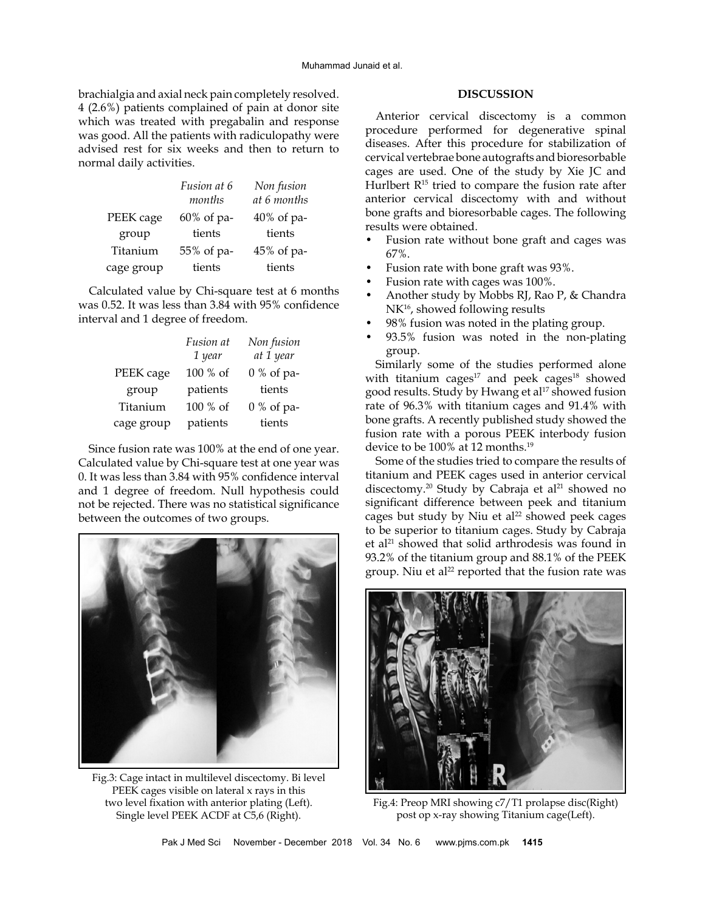brachialgia and axial neck pain completely resolved. 4 (2.6%) patients complained of pain at donor site which was treated with pregabalin and response was good. All the patients with radiculopathy were advised rest for six weeks and then to return to normal daily activities.

|            | Fusion at 6<br>months | Non fusion<br>at 6 months |
|------------|-----------------------|---------------------------|
| PEEK cage  | 60% of pa-            | $40\%$ of pa-             |
| group      | tients                | tients                    |
| Titanium   | 55% of pa-            | 45% of pa-                |
| cage group | tients                | tients                    |

Calculated value by Chi-square test at 6 months was 0.52. It was less than 3.84 with 95% confidence interval and 1 degree of freedom.

|            | Fusion at | Non fusion   |
|------------|-----------|--------------|
|            | 1 year    | at 1 year    |
| PEEK cage  | 100 % of  | $0\%$ of pa- |
| group      | patients  | tients       |
| Titanium   | 100 % of  | $0\%$ of pa- |
| cage group | patients  | tients       |

Since fusion rate was 100% at the end of one year. Calculated value by Chi-square test at one year was 0. It was less than 3.84 with 95% confidence interval and 1 degree of freedom. Null hypothesis could not be rejected. There was no statistical significance between the outcomes of two groups.



Fig.3: Cage intact in multilevel discectomy. Bi level PEEK cages visible on lateral x rays in this two level fixation with anterior plating (Left). Single level PEEK ACDF at C5,6 (Right).

#### **DISCUSSION**

Anterior cervical discectomy is a common procedure performed for degenerative spinal diseases. After this procedure for stabilization of cervical vertebrae bone autografts and bioresorbable cages are used. One of the study by Xie JC and Hurlbert  $R^{15}$  tried to compare the fusion rate after anterior cervical discectomy with and without bone grafts and bioresorbable cages. The following results were obtained.

- Fusion rate without bone graft and cages was 67%.
- Fusion rate with bone graft was 93%.
- Fusion rate with cages was 100%.
- Another study by Mobbs RJ, Rao P, & Chandra NK<sup>16</sup>, showed following results
- 98% fusion was noted in the plating group.
- 93.5% fusion was noted in the non-plating group.

Similarly some of the studies performed alone with titanium cages $17$  and peek cages $18$  showed good results. Study by Hwang et al<sup>17</sup> showed fusion rate of 96.3% with titanium cages and 91.4% with bone grafts. A recently published study showed the fusion rate with a porous PEEK interbody fusion device to be 100% at 12 months.<sup>19</sup>

Some of the studies tried to compare the results of titanium and PEEK cages used in anterior cervical discectomy.<sup>20</sup> Study by Cabraja et al<sup>21</sup> showed no significant difference between peek and titanium cages but study by Niu et al<sup>22</sup> showed peek cages to be superior to titanium cages. Study by Cabraja et al<sup>21</sup> showed that solid arthrodesis was found in 93.2% of the titanium group and 88.1% of the PEEK group. Niu et al<sup>22</sup> reported that the fusion rate was



Fig.4: Preop MRI showing c7/T1 prolapse disc(Right) post op x-ray showing Titanium cage(Left).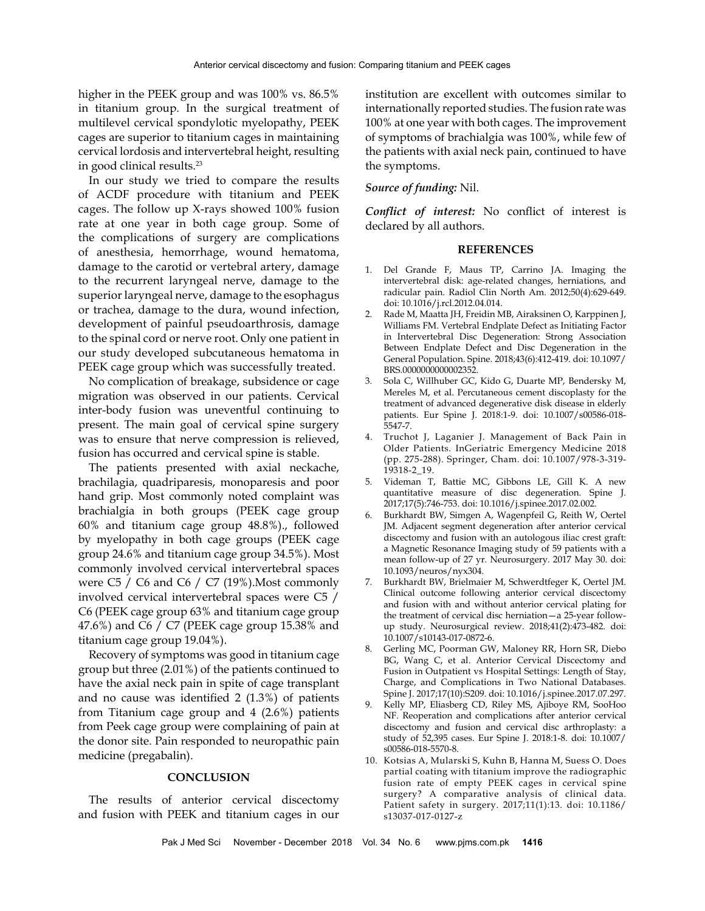higher in the PEEK group and was 100% vs. 86.5% in titanium group. In the surgical treatment of multilevel cervical spondylotic myelopathy, PEEK cages are superior to titanium cages in maintaining cervical lordosis and intervertebral height, resulting in good clinical results.23

In our study we tried to compare the results of ACDF procedure with titanium and PEEK cages. The follow up X-rays showed 100% fusion rate at one year in both cage group. Some of the complications of surgery are complications of anesthesia, hemorrhage, wound hematoma, damage to the carotid or vertebral artery, damage to the recurrent laryngeal nerve, damage to the superior laryngeal nerve, damage to the esophagus or trachea, damage to the dura, wound infection, development of painful pseudoarthrosis, damage to the spinal cord or nerve root. Only one patient in our study developed subcutaneous hematoma in PEEK cage group which was successfully treated.

No complication of breakage, subsidence or cage migration was observed in our patients. Cervical inter-body fusion was uneventful continuing to present. The main goal of cervical spine surgery was to ensure that nerve compression is relieved, fusion has occurred and cervical spine is stable.

The patients presented with axial neckache, brachilagia, quadriparesis, monoparesis and poor hand grip. Most commonly noted complaint was brachialgia in both groups (PEEK cage group 60% and titanium cage group 48.8%)., followed by myelopathy in both cage groups (PEEK cage group 24.6% and titanium cage group 34.5%). Most commonly involved cervical intervertebral spaces were C5 / C6 and C6 / C7 (19%).Most commonly involved cervical intervertebral spaces were C5 / C6 (PEEK cage group 63% and titanium cage group 47.6%) and C6 / C7 (PEEK cage group 15.38% and titanium cage group 19.04%).

Recovery of symptoms was good in titanium cage group but three (2.01%) of the patients continued to have the axial neck pain in spite of cage transplant and no cause was identified 2 (1.3%) of patients from Titanium cage group and 4 (2.6%) patients from Peek cage group were complaining of pain at the donor site. Pain responded to neuropathic pain medicine (pregabalin).

#### **CONCLUSION**

The results of anterior cervical discectomy and fusion with PEEK and titanium cages in our institution are excellent with outcomes similar to internationally reported studies. The fusion rate was 100% at one year with both cages. The improvement of symptoms of brachialgia was 100%, while few of the patients with axial neck pain, continued to have the symptoms.

#### *Source of funding:* Nil.

*Conflict of interest:* No conflict of interest is declared by all authors.

#### **REFERENCES**

- 1. Del Grande F, Maus TP, Carrino JA. Imaging the intervertebral disk: age-related changes, herniations, and radicular pain. Radiol Clin North Am. 2012;50(4):629-649. doi: 10.1016/j.rcl.2012.04.014.
- 2. Rade M, Maatta JH, Freidin MB, Airaksinen O, Karppinen J, Williams FM. Vertebral Endplate Defect as Initiating Factor in Intervertebral Disc Degeneration: Strong Association Between Endplate Defect and Disc Degeneration in the General Population. Spine. 2018;43(6):412-419. doi: 10.1097/ BRS.0000000000002352.
- 3. Sola C, Willhuber GC, Kido G, Duarte MP, Bendersky M, Mereles M, et al. Percutaneous cement discoplasty for the treatment of advanced degenerative disk disease in elderly patients. Eur Spine J. 2018:1-9. doi: 10.1007/s00586-018- 5547-7.
- 4. Truchot J, Laganier J. Management of Back Pain in Older Patients. InGeriatric Emergency Medicine 2018 (pp. 275-288). Springer, Cham. doi: 10.1007/978-3-319- 19318-2\_19.
- 5. Videman T, Battie MC, Gibbons LE, Gill K. A new quantitative measure of disc degeneration. Spine J. 2017;17(5):746-753. doi: [10.1016/j.spinee.2017.02.002](https://doi.org/10.1016/j.spinee.2017.02.002).
- 6. Burkhardt BW, Simgen A, Wagenpfeil G, Reith W, Oertel JM. Adjacent segment degeneration after anterior cervical discectomy and fusion with an autologous iliac crest graft: a Magnetic Resonance Imaging study of 59 patients with a mean follow-up of 27 yr. Neurosurgery. 2017 May 30. doi: 10.1093/neuros/nyx304.
- 7. Burkhardt BW, Brielmaier M, Schwerdtfeger K, Oertel JM. Clinical outcome following anterior cervical discectomy and fusion with and without anterior cervical plating for the treatment of cervical disc herniation—a 25-year followup study. Neurosurgical review. 2018;41(2):473-482. doi: 10.1007/s10143-017-0872-6.
- Gerling MC, Poorman GW, Maloney RR, Horn SR, Diebo BG, Wang C, et al. Anterior Cervical Discectomy and Fusion in Outpatient vs Hospital Settings: Length of Stay, Charge, and Complications in Two National Databases. Spine J. 2017;17(10):S209. doi: 10.1016/j.spinee.2017.07.297.
- 9. Kelly MP, Eliasberg CD, Riley MS, Ajiboye RM, SooHoo NF. Reoperation and complications after anterior cervical discectomy and fusion and cervical disc arthroplasty: a study of 52,395 cases. Eur Spine J. 2018:1-8. doi: 10.1007/ s00586-018-5570-8.
- 10. Kotsias A, Mularski S, Kuhn B, Hanna M, Suess O. Does partial coating with titanium improve the radiographic fusion rate of empty PEEK cages in cervical spine surgery? A comparative analysis of clinical data. Patient safety in surgery. 2017;11(1):13. doi: 10.1186/ s13037-017-0127-z